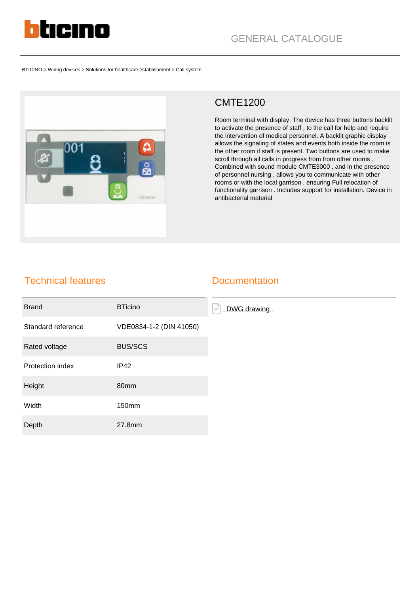

BTICINO > Wiring devices > Solutions for healthcare establishment > Call system



## CMTE1200

Room terminal with display. The device has three buttons backlit to activate the presence of staff , to the call for help and require the intervention of medical personnel. A backlit graphic display allows the signaling of states and events both inside the room is the other room if staff is present. Two buttons are used to make scroll through all calls in progress from from other rooms . Combined with sound module CMTE3000 , and in the presence of personnel nursing , allows you to communicate with other rooms or with the local garrison , ensuring Full relocation of functionality garrison . Includes support for installation. Device in antibacterial material

## Technical features

## **Documentation**

| <b>Brand</b>       | <b>BTicino</b>          | DWG drawing<br>$\equiv$ |
|--------------------|-------------------------|-------------------------|
| Standard reference | VDE0834-1-2 (DIN 41050) |                         |
| Rated voltage      | <b>BUS/SCS</b>          |                         |
| Protection index   | <b>IP42</b>             |                         |
| Height             | 80mm                    |                         |
| Width              | 150mm                   |                         |
| Depth              | 27.8mm                  |                         |